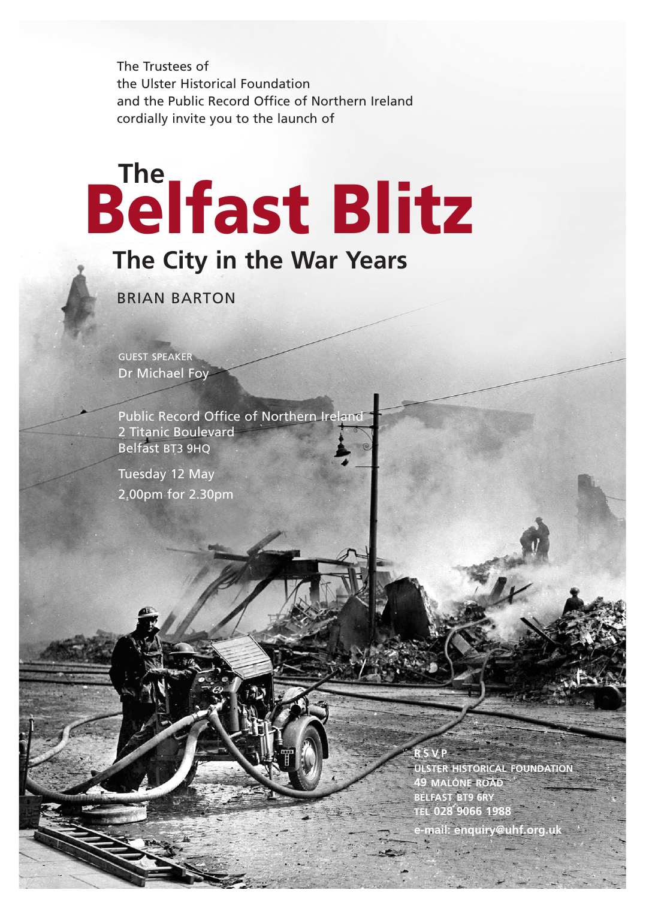The Trustees of the Ulster Historical Foundation and the Public Record Office of Northern Ireland cordially invite you to the launch of

## Belfast Blitz **The**

## **The City in the War Years**

BRIAN BARTON

GUEST SPEAKER Dr Michael Foy

Public Record Office of Northern Ireland 2 Titanic Boulevard Belfast BT3 9HQ

Tuesday 12 May 2.00pm for 2.30pm

> **R S V P ULSTER HISTORICAL FOUNDATION 49 MALONE ROAD BELFAST BT9 6RY TEL 028 9066 1988**

**e-mail: enquiry@uhf.org.uk**